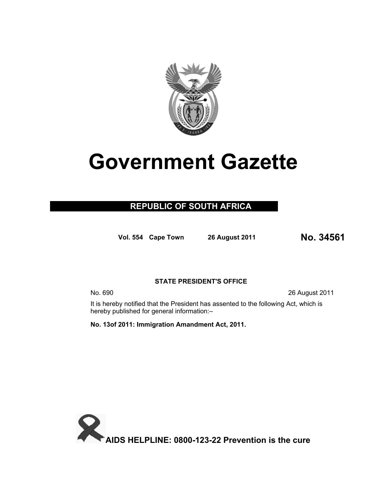

# **Government Gazette**

### **REPUBLIC OF SOUTH AFRICA**

**Vol. 554 Cape Town 26 August 20<sup>11</sup> No. 34561**

#### **STATE PRESIDENT'S OFFICE**

No. 690 26 August 2011

It is hereby notified that the President has assented to the following Act, which is hereby published for general information:–

**No. 13of 2011: Immigration Amandment Act, 2011.** 

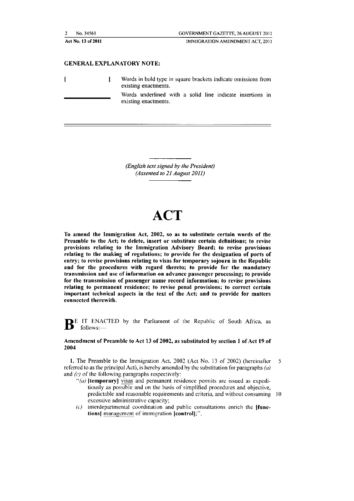| n · | $.45f^{-}$<br>61 |  |
|-----|------------------|--|
|     |                  |  |

#### GENERAL EXPLANATORY NOTE:

 $\mathbf{I}$ 

 $\overline{1}$ 

Words in bold type in square brackets indicate omissions from existing enactments.

Words underlined with a solid line indicate insertions in existing enactments.

*(English text signed by the President) (Assented to 21 August 2011)* 

## **ACT**

To amend the Immigration Act, 2002, so as to substitute certain words of the Preamble to the Act; to delete, insert or substitute certain definitions; to revise provisions relating to the Immigration Advisory Board; to revise provisions relating to the making of regulations; to provide for the designation of ports of entry; to revise provisions relating to visas for temporary sojourn in the Republic and for the procedures with regard thereto; to provide for the mandatory transmission and use of information on advance passenger processing; to provide for the transmission of passenger name record information; to revise provisions relating to permanent residence; to revise penal provisions; to correct certain important technical aspects in the text of the Act; and to provide for matters connected therewith,

BE IT ENACTED by the Parliament of the Republic of South Africa, as follows:-

#### Amendment of Preamble to Act 13 of 2002, as substituted by section 1 of Act 19 of 2004

I. The Preamble to the Immigration Act. *2002* (Act No. 13 of 2002) (hereinallcr 5 referred to as the principal Act), is hereby amended by the substitution for paragraphs  $(a)$ and  $(c)$  of the following paragraphs respectively:

- $\cdot \cdot \cdot$ (a) [temporary] visas and permanent residence permits arc issued as expeditiously as possible and on the basis of simplified procedures and objective, predictable and reasonable requirements and criteria, and without consuming 10 excessive administrative capacity;
- $(c)$  interdepartmental coordination and public consultations enrich the  $[func$ tions] management of immigration (control);".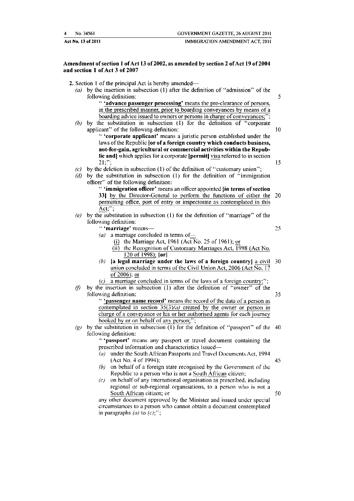| 4 | No. 34561          | <b>GOVERNMENT GAZETTE, 26 AUGUST 2011</b> |
|---|--------------------|-------------------------------------------|
|   | Act No. 13 of 2011 | IMMIGRATION AMENDMENT ACT, 2011           |

#### Amendment of section I of Act l3 of 2002, as amended by section 2 of Act 19 of2004 and section I of Act 3 of 2007

|  |  |  |  |  |  |  | 2. Section 1 of the principal Act is hereby amended— |
|--|--|--|--|--|--|--|------------------------------------------------------|
|--|--|--|--|--|--|--|------------------------------------------------------|

(a) by the insertion in subsection (1) after the definition of "admission" of the following definition: 5

> " "advance passenger processing' means the pre-clearance of persons. in the prescribed manner, prior to boarding conveyances by means of a boarding advice issued to owners or persons in charge of conveyances;"

*(b)* by the substitution in subsection (I) for the definition of "corporate applicant" of the following definition: 10

•· 'corporate applicant' means a juristic person established under the laws of the Republic for of a foreign country which conducts business, not-for-gain, agricultural or commercial activities within the Republic and] which applies for a corporate [permit]  $\frac{1}{12}$  referred to in section  $21$ .":  $21;$ ";  $15$ 

- (c) by the deletion in subsection (1) of the definition of "customary union":
- *(d)* by the substitution in subsection (I) for the definition of "immigration officer'' of the following definition:

•· 'immigration officer' means an officer appointed lin terms of section 331 by the Director-General to perform the functions of either the 20 permitting office. port of entry or inspectorate as contemplated in this Act;'';

- (e) by the substitution in subsection (1) for the definition of "marriage" of the following definition:
	- " 'marriage' means- *25*
	- (a) a marriage concluded in terms of-
		- (i) the Marriage Act, 1961 (Act  $\overline{N}$ o. 25 of 1961); or
		- (ii) the Recognition of Customary Marriages Act, 1998 (Act No. 120 of 1998); Iori
	- (b) Ia legal marriage under the laws of a foreign country] a civil 30 union concluded in terms of the Civil Union Act,  $2006$  (Act  $\overline{No}$ , 17 of2006); or
	- (c) a marriage concluded in terms of the laws of a foreign country;";
- (f) by the insertion in subsection  $(1)$  after the definition of "owner" of the following definition: 35 '· 'passenger name record' means the record of the data of a person as
	- contemplated in section  $35(3)(a)$  created by the owner or person in charge of a conveyance or his or her authorised agents for each journey booked by or on behalf of any person;";
- (g) by the substitution in subsection (1) for the definition of "passport" of the 40 following definition:

., 'passport' means any passport or travel document containing the prescribed information and characteristics issued-

- *( a)* under the South African Passports and Travel Documents Act. 1994 (Act No.4 of 1994); 45
- *(bj* on behalf of a foreign state recognised by the Government of the Republic to a person who is not a South African citizen;
- *(c)* on behalf of any international organisation as prescribed. including regional or sub-regional organisations, to a person who is not a South African citizen; or 50

any other document approved by the Minister and issued under special circumstances to a person who cannot obtain a document contemplated in paragraphs  $(a)$  to  $(c)$ ;";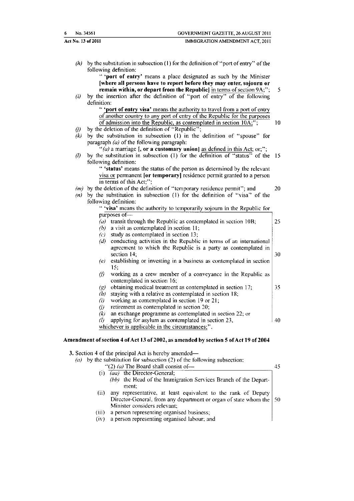|                    | No. 34561<br>GOVERNMENT GAZETTE, 26 AUGUST 2011                                                                                                                 |
|--------------------|-----------------------------------------------------------------------------------------------------------------------------------------------------------------|
| Act No. 13 of 2011 | IMMIGRATION AMENDMENT ACT, 2011                                                                                                                                 |
|                    |                                                                                                                                                                 |
|                    | $(h)$ by the substitution in subsection (1) for the definition of "port of entry" of the<br>following definition:                                               |
|                    | " 'port of entry' means a place designated as such by the Minister                                                                                              |
|                    | [where all persons have to report before they may enter, sojourn or                                                                                             |
|                    | remain within, or depart from the Republic] in terms of section 9A;";                                                                                           |
| (i)                | by the insertion after the definition of "port of entry" of the following                                                                                       |
|                    | definition:                                                                                                                                                     |
|                    | " 'port of entry visa' means the authority to travel from a port of entry                                                                                       |
|                    | of another country to any port of entry of the Republic for the purposes<br>of admission into the Republic, as contemplated in section 10A;";                   |
| (i)                | by the deletion of the definition of "Republic";                                                                                                                |
| (k)                | by the substitution in subsection (1) in the definition of "spouse" for                                                                                         |
|                    | paragraph $(a)$ of the following paragraph:                                                                                                                     |
|                    | "(a) a marriage $[$ , or a customary union] as defined in this Act; or;";                                                                                       |
| $\left( l\right)$  | by the substitution in subsection (1) for the definition of "status" of the                                                                                     |
|                    | following definition:                                                                                                                                           |
|                    | " 'status' means the status of the person as determined by the relevant                                                                                         |
|                    | visa or permanent [or temporary] residence permit granted to a person                                                                                           |
|                    | in terms of this Act:":                                                                                                                                         |
|                    | $(m)$ by the deletion of the definition of "temporary residence permit"; and<br>$(n)$ by the substitution in subsection (1) for the definition of "visa" of the |
|                    | following definition:                                                                                                                                           |
|                    | " 'visa' means the authority to temporarily sojourn in the Republic for                                                                                         |
|                    | purposes of-                                                                                                                                                    |
|                    | (a) transit through the Republic as contemplated in section 10B;                                                                                                |
|                    | $(b)$ a visit as contemplated in section 11;                                                                                                                    |
|                    | $(c)$ study as contemplated in section 13;                                                                                                                      |
|                    | (d) conducting activities in the Republic in terms of an international                                                                                          |
|                    | agreement to which the Republic is a party as contemplated in                                                                                                   |
|                    | section 14;                                                                                                                                                     |
|                    | (e) establishing or investing in a business as contemplated in section<br>15:                                                                                   |
|                    | working as a crew member of a conveyance in the Republic as<br>(f)                                                                                              |
|                    | contemplated in section 16;                                                                                                                                     |
|                    | obtaining medical treatment as contemplated in section 17;<br>$\left( p\right)$                                                                                 |
|                    | staying with a relative as contemplated in section 18;<br>(h)                                                                                                   |
|                    | working as contemplated in section 19 or 21;<br>$\left( u\right)$                                                                                               |
|                    | retirement as contemplated in section 20;<br>$\theta$                                                                                                           |
|                    | an exchange programme as contemplated in section 22; or<br>(k)                                                                                                  |
|                    | applying for asylum as contemplated in section 23,<br>$\theta$                                                                                                  |
|                    | whichever is applicable in the circumstances;".                                                                                                                 |

|       | by the substitution for subsection $(2)$ of the following subsection:    |    |
|-------|--------------------------------------------------------------------------|----|
|       | "(2) (a) The Board shall consist of-                                     | 45 |
|       | (i) $(aa)$ the Director-General;                                         |    |
|       | (bb) the Head of the Immigration Services Branch of the Depart-<br>ment: |    |
| (ii)  | any representative, at least equivalent to the rank of Deputy            |    |
|       | Director-General, from any department or organ of state whom the   50    |    |
|       | Minister considers relevant;                                             |    |
| (iii) | a person representing organised business;                                |    |
| (iv)  | a person representing organised labour; and                              |    |
|       |                                                                          |    |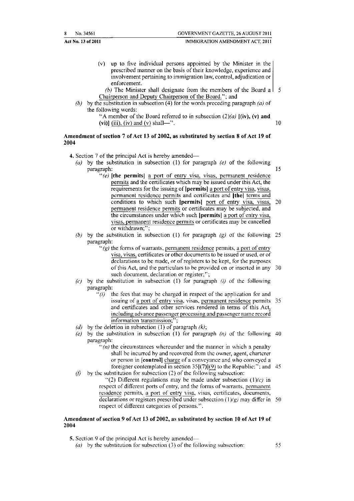| 8. | No. 34561          | <b>GOVERNMENT GAZETTE, 26 AUGUST 2011</b> |
|----|--------------------|-------------------------------------------|
|    | Act No. 13 of 2011 | IMMIGRATION AMENDMENT ACT, 2011           |

(v) up to five individual persons appointed by the Minister in the prescribed manner on the basis of their knowledge, experience and involvement pertaining to immigration law, control, adjudication or enforcement.

*(b)* The Minister shall designate from the members of the Board a  $\vert$  5 Chairperson and Deputy Chairperson of the Board."; and

*(b)* by the substitution in subsection (4) for the words preceding paragraph  $(a)$  of the following words;

> "A member of the Board referred to in subsection  $(2)(a)$   $[(iv), (v)$  and (vi)] (iii), (iv) and (v) shall—".  $10$

#### Amendment of section 7 of Act 13 of 2002, as substituted by section 8 of Act 19 of 2004

- 4. Section 7 of the principal Act is hereby amended-
	- (a) by the substitution in subsection (1) for paragraph (e) of the following paragraph: paragraph: 15
		- "(e) **[the permits]** a port of entry visa, visas, permanent residence pem1its and the certificates which may be issued under this Act, the requirements for the issuing of **!permits]** a port of entry visa, visas, permanent residence pcnnits and certificates and **JtheJ** terms and conditions to which such [permits] port of entry visa, visas, 20 permanent residence permits or certificates may be subjected, and the circumstances under which such **(permits]** a port of entry visa, visas, permanent residence permits or certificates may be cancelled or withdrawn;";
	- *(b)* by the substitution in subsection (I) for paragraph (g) of the following 25 paragraph:
		- $\gamma(g)$  the forms of warrants, permanent residence permits, a port of entry visa, visas, certificates or other documents to be issued or used, or of declarations to be made, or of registers to be kept, for the purposes of this Act, and the particulars to be provided on or inserted in any 30 such document, declaration or register;";
	- (c) by the substitution in subsection (1) for paragraph (i) of the following paragraph:
		- $f(i)$  the fees that may be charged in respect of the application for and issuing of a port of entry visa, visas. permanent residence permits 35 and certificates and other services rendered in terms of this Act, including advance passenger processing and passenger name record information transmission;";
	- (d) by the deletion in subsection (1) of paragraph  $(k)$ ;
	- $(e)$  by the substitution in subsection (1) for paragraph  $(n)$  of the following 40 paragraph:
		- $\cdot \cdot(n)$  the circumstances whereunder and the manner in which a penalty shall be incurred hy and recovered from the owner, agent, charterer or person in **!control]** charge of a conveyance and who conveyed a foreigner contemplated in section  $35[(7)](9)$  to the Republic:": and 45
	- (f) by the substitution for subsection (2) of the following subsection:  $''(2)$  Different regulations may be made under subsection  $(1)/c$  in respect of different ports of entry, and the forms of warrants, permanent residence permits, a port of entry visa, visas, certificates, documents, declarations or registers prescribed under subsection  $(1)(g)$  may differ in 50 respect of different categories of persons.".

#### Amendment of section 9 of Act 13 of 2002, as substituted by section 10 of Act 19 of 2004

5. Section 9 of the principal Act is hereby amended—

(a) by the substitution for subsection (3) of the following subsection:  $55$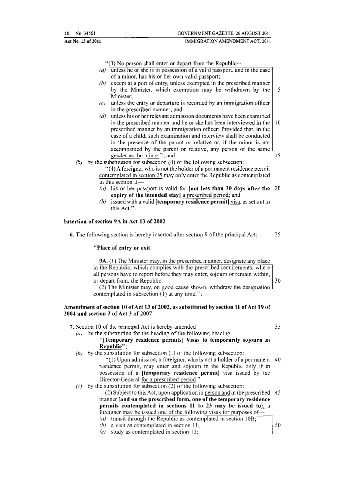| 10 | No. 34561 |  |
|----|-----------|--|
|    |           |  |
|    |           |  |

#### Act No. 13 of 2011 **IMMIGRATION AMENDMENT ACT, 2011**

 $''(3)$  No person shall enter or depart from the Republic--

- (a) unless he or she is in possession of a valid passport, and in the case of a minor, has his or her own valid passport;
- *(b)* except at a port of entry, unless exempted in the prescribed manner by the Minister, which exemption may be withdrawn by the  $\vert 5 \rangle$ Minister;
- $(c)$  unless the entry or departure is recorded by an immigration officer in the prescribed manner; and
- $(d)$  unless his or her relevant admission documents have been examined in the prescribed manner and he or she has been interviewed in the  $\vert$  10 prescribed manner by an immigration officer: Provided that, in the case of a child, such examination and interview shall be conducted in the presence of the parent or relative or, if the minor is not accompanied by the parent or relative, any person of the same gender as the minor."; and 15
- *(b)* by the substitution for subsection (4) of the following subsection:
	- "(4) A foreigner who is not the holder of a permanent residence permit contemplated in section 25 may only enter the Republic as contemplated in this section  $if$  $-$
	- (a) his or her passport is valid for  $[$ not less than 30 days after the 20 expiry of the intended stay] a prescribed period; and
	- *(b)* issued with a valid [temporary residence permit] visa, as set out in this Act.".

#### Insertion of section 9A in Act 13 of 2002

6. The following scclion is hereby inserted after section 9 of the principal Act: 25

"Place of entry or exit

9A. (I) The Minister may, in the prescribed manner, designate any place in the Republic, which complies with the prescribed requirements, where all persons have to report before they may enter, sojourn or remain within, or depart from, the Republic. 30

(2) The Minister may, on good cause shown, withdraw the designation contemplated in subsection (1) at any time.";

#### Amendment of section 10 of Act 13 of 2002, as substituted by section 11 of Act 19 of 2004 and section 2 of Act 3 of 2007

- 7. Section 10 of the principal Act is hereby amended— 35 (a) by the substitution for the heading of the following heading: "[Temporary residence permits} Visas to temporarily sojourn in Republic"; (b) by the substitution for subsection (1) of the following subsection: "(I) Upon admission, a foreigner, who is not a holder of a permanent 40 residence permit, may enter and sojourn in the Republic only if in possession of a [temporary residence permit] visa issued by the Director-General for a prescribed period.'' (c) by the substitution for subsection (2) of the following subsection: (2) Subject to this Act, upon application in person and in the prescribed 45 manner  $|$  and on the prescribed form, one of the temporary residence permits contemplated in sections 11 to 23 may be issued toJ, a foreigner may be issued one of the following visas for purposes of $-$ 
	- (a) transit through the Republic as contemplated in section  $10B$ ;
	- (b) a visit as contemplated in section 11;  $|50 \rangle$
	- *(c)* study as contemplated in section 13;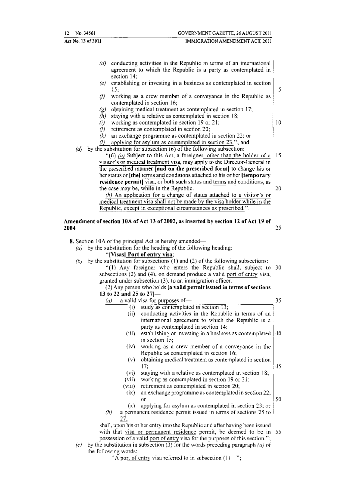| $12 \quad$ No. 34561 | GOVERNMENT GAZETTE, 26 AUGUST 2011 |
|----------------------|------------------------------------|
| Act No. 13 of 2011   | IMMIGRATION AMENDMENT ACT. 2011    |

- *(d)* conducting activities in the Republic in terms of an international agreement to which the Republic is a party as contemplated in section 14;
- *(e)* establishing or investing **in** a business as contemplated in section  $15;$  5
- (f) working as a crew member of a conveyance in the Republic as contemplated in section 16;
- $(g)$  obtaining medical treatment as contemplated in section 17;
- *(h)* staying with a relative as contemplated in section 18;
- (i) working as contemplated in section 19 or 21;  $\vert$  10
- $(i)$  retirement as contemplated in section 20;
- *(k)* an exchange programme as contemplated in section 22; or
- $\ell$  applying for asylum as contemplated in section 23."; and
- *(d)* by the substitution for subsection (6) of the following subsection:

"(6) *(a)* Subject to this Act, a foreigner, other than the holder of a  $15$ visitor's or medical treatment visa, may apply to the Director-General in the prescribed manner [and on the prescribed form] to change his or her status or [the] terms and conditions attached to his or her [temporary] residence permit] visa, or both such status and terms and conditions, as the case may be, while in the Republic. 20

*(h)* An application for a change of status attached to a visitor's or medical treatment visa shall not be made by the visa holder while in the Republic. except in exceptional circumstances as prescribed.".

#### Amendment of section lOA of Act 13 of 2002, as inserted by section 12 of Act 19 of **2004 2006**

- 8. Section 10A of the principal Act is hereby amended—
	- ( $a$ ) by the substitution for the heading of the following heading:
		- "[Visas] Port of entry visa;

the

*(b)* by the substitution for subsections ( 1) and (2) of the following subsections: "(1) Any foreigner who enters the Republic shall, subject to 30 subsections (2) and (4), on demand produce a valid port of entry visa, granted under subsection (3), to an immigration officer.

#### (2) Any person who holds [a valid permit issued in terms of sections 13 to 22 and 25 to 27 |-

|     | (a)                  |                   | a valid visa for purposes of-                                                  | 35 |
|-----|----------------------|-------------------|--------------------------------------------------------------------------------|----|
|     |                      | $\left( 1\right)$ | study as contemplated in section 13;                                           |    |
|     |                      | (ii)              | conducting activities in the Republic in terms of an                           |    |
|     |                      |                   | international agreement to which the Republic is a                             |    |
|     |                      |                   | party as contemplated in section 14;                                           |    |
|     |                      | (iii)             | establishing or investing in a business as contemplated                        | 40 |
|     |                      |                   | in section 15;                                                                 |    |
|     |                      | (iv)              | working as a crew member of a conveyance in the                                |    |
|     |                      |                   | Republic as contemplated in section 16;                                        |    |
|     |                      | (v)               | obtaining medical treatment as contemplated in section                         |    |
|     |                      |                   | 17.                                                                            | 45 |
|     |                      | (vi)              | staying with a relative as contemplated in section 18;                         |    |
|     |                      | (vii)             | working as contemplated in section 19 or 21;                                   |    |
|     |                      | (viii)            | retirement as contemplated in section 20;                                      |    |
|     |                      | (ix)              | an exchange programme as contemplated in section 22;                           |    |
|     |                      |                   | $\Omega$ r                                                                     | 50 |
|     |                      | (x)               | applying for asylum as contemplated in section 23; or                          |    |
|     | (b)                  |                   | a permanent residence permit issued in terms of sections 25 to 1               |    |
|     |                      | 27.               |                                                                                |    |
|     |                      |                   | shall, upon his or her entry into the Republic and after having been issued    |    |
|     |                      |                   | with that visa or permanent residence permit, be deemed to be in 55            |    |
|     |                      |                   | possession of a valid port of entry visa for the purposes of this section.";   |    |
| (c) |                      |                   | by the substitution in subsection (3) for the words preceding paragraph (a) of |    |
|     | the following words: |                   |                                                                                |    |

" $\overline{\Lambda}$  port of entry visa referred to in subsection (1)-'';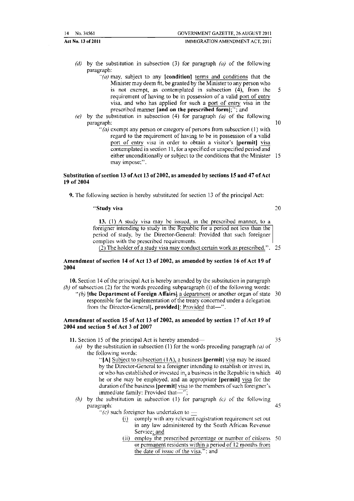| 14 No. 34561        | GOVERNMENT GAZETTE, 26 AUGUST 2011 |  |
|---------------------|------------------------------------|--|
| Act No. 13 of 2011– | IMMIGRATION AMENDMENT ACT, 2011    |  |

- *(d)* by the substitution in subsection (3) for paragraph *(a)* of the following paragraph:
	- $\hat{a}$  may, subject to any **[condition**] terms and conditions that the Minister may deem fit. be granted by the Minister to any person who is not exempt, as contemplated in subsection (4), from the 5 requirement of having to be in possession of a valid port of entry visa, and who has applied for such a port of entry visa in the prescribed manner [and on the prescribed form];''; and
- (e) by the substitution in subsection (4) for paragraph  $(a)$  of the following paragraph: 10
	- " $(a)$  exempt any person or category of persons from subsection (1) with regard to the requirement of having to be in possession of a valid port of entry visa in order to obtain a visitor's [permit] visa contemplated in section 11. for a specified or unspecified period and either unconditionally or subject to the conditions that the Minister 15 may impose;".

#### Substitution of section 13 of Act 13 of 2002, as amended by sections 15 and 47 of Act 19 of 2004

9. The following section is hereby substituted for section 13 of the principal Act:

#### "Study visa

*20* 

**13.** (I) A study visa may be issued. in the prescribed manner, to a foreigner intending to study in the Republic for a period not less than the period of study, by the Director-General: Provided that such foreigner complies with the prescribed requirements.

(2) The holder of a study visa may conduct certain work as prescribed.". 25

#### Amendment of section 14 of Act 13 of 2002, as amended by section 16 of Act 19 of 2004

10. Section 14 of the principal Act is hereby amended by the substitution in paragraph *(b)* of subsection (2) for the words preceding subparagraph (i) of the following words:

 $\cdot$ <sup>'</sup>(b) **[the Department of Foreign Affairs]** a department or another organ of state 30 responsible for the implementation of the treaty concemed under a delegation from the Director-General<sup>[</sup>, provided]: Provided that-".

#### Amendment of section 15 of Act 13 of 2002, as amended by section 17 of Act 19 of 2004 and section 5 of Act 3 of 2007

II. Section 15 of the principal Act is hereby amended- 35

 $(a)$  by the substitution in subsection (1) for the words preceding paragraph  $(a)$  of the following words:

> "[A] Subject to subsection (1A), a business [permit] visa may be issued by the Director-General to a foreigner intending to establish or invest in, or who has established or invested in, a business in the Republic in which  $40$ he or she may be employed, and an appropriate (permit] visa for the duration of the business **|permit**| visa to the members of such foreigner's immediate family: Provided that $-$ '';

#### *(h)* by the substitution in subsection (I) for paragraph (c) of the following paragraph: 45

"(*c*) such foreigner has undertaken to  $\equiv$  (i) comply with any relevant

- comply with any relevant registration requirement set out in any law administered by the South African Revenue Service; and
- (ii) employ the prescribed percentage or number of citizens 50 or permanent residents within a period of 12 months from the date of issue of the visa."; and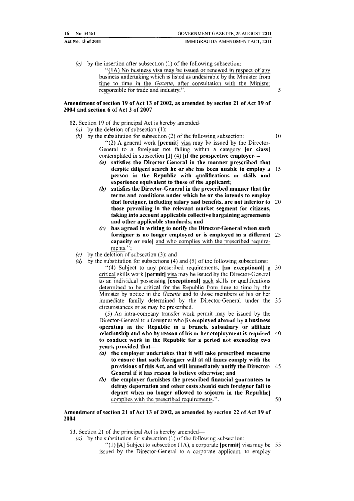| 16 No. 34561       | GOVERNMENT GAZETTE, 26 AUGUST 2011<br>---- - |
|--------------------|----------------------------------------------|
| Act No. 13 of 2011 | IMMIGRATION AMENDMENT ACT, 2011              |

 $(c)$  by the insertion after subsection (1) of the following subsection: " $(1A)$  No business visa may be issued or renewed in respect of any business undertaking which is listed as undesirable by the Minister from time to time in the *Gazette,* after consultation with the Minister responsible for trade and industry.".

#### Amendment of section 19 of Act 13 of 2002, as amended by section 21 of Act 19 of 2004 and section 6 of Act 3 of 2007

12. Section 19 of the principal Act is hereby amended---

- (a) by the deletion of subsection  $(1)$ ;
- (b) by the substitution for subsection (2) of the following subsection:  $10$ "(2) A general work  $\left| \right|$  permit) visa may be issued by the Director-General to a foreigner not falling within a category **[or class]** contemplated in subsection  $[1]$  (4)  $[$ if the prospective employer--
	- $(a)$  satisfies the Director-General in the manner prescribed that despite diligent search he or she has been unable to employ a 15 person in the Republic with qualifications or skills and experience equivalent to those of the applicant;
	- *(h)* satisfies the Director-General in the prescribed manner that the terms and conditions under which he or she intends to employ that foreigner, including salary and benefits, are not inferior to *10*  those prevailing in the relevant market segment for citizens, taking into account applicable collective bargaining agreements and other applicable standards; and
	- *(c)* has agreed in writing to notify the Director-General when such foreigner is no longer employed or is employed in a different 25 capacity or role] and who complies with the prescribed requirements.":
- $(c)$  by the deletion of subsection (3); and
- *(d)* by the substitution for subsections (4) and (5) of the following subsections:
	- $(4)$  Subject to any prescribed requirements,  $\begin{bmatrix} \mathbf{a} \\ \mathbf{a} \end{bmatrix}$  a 20 critical skills work [permit] visa may be issued by the Director-General to an individual possessing [exceptional) such skills or qualifications determined to be critical for the Republic from time to time by the Minister by notice in the *Gazette* and to those members of his or her immediate family determined by the Director-General under the 35 circumstances or as may he prescribed.

(5) An intra-company transfer work pennit may be issued by the Director-General to a foreigner who lis employed abroad by a business operating in the Republic in a branch, subsidiary or affiliate relationship and who by reason of his or her employment is required 40 to conduct work in the Republic for a period not exceeding two years, provided that-

- ( $u$ ) the employer undertakes that it will take prescribed measures to ensure that such foreigner will at all times comply with the provisions of this Act, and will immediately notify the Director- 45 General if it has reason to believe otherwise; and
- *(h)* the employer furnishes the prescribed financial guarantees to defray deportation and other costs should such foreigner fail to depart when no longer allowed to sojourn in the Republic] complies with the prescribed requirements.". 50

Amendment of section 21 of Act 13 of 2002, as amended by section 22 of Act 19 of 2004

13. Section 21 of the principal Act is hereby amended—

(a) by the substitution for subsection (1) of the following subsection:

"(1) [A] Subject to subsection (1A), a corporate [permit] visa may be 55 issued by the Director-General to a corporate applicant, to employ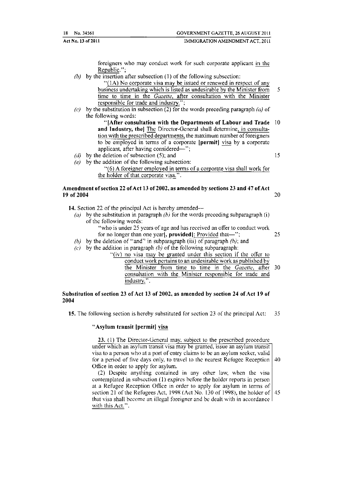| 18 No. 34561<br>$- - -$ | GOVERNMENT GAZETTE, 26 AUGUST 2011 |
|-------------------------|------------------------------------|
| Act No. 13 of 2011      | IMMIGRATION AMENDMENT ACT, 2011    |

foreigners who may conduct work for such corporate applicant in the Republic."

- *(h)* by the insertion after subsection (1) of the following subsection:
	- "(lA) No corporate visa may be issued or renewed in respect of any business undertaking which is listed as undesirable by the Minister from 5 time to time in the *Gazelle,* after consultation with the Minister responsible for trade and industry.";
- (c) by the substitution in subsection (2) for the words preceding paragraph (a) of the following words:
	- "[After consultation with the Departments of Labour and Trade 10 and Industry, thel The Director-General shall determine, in consultation with the prescribed departments, the maximum number of foreigners to be employed in terms of a corporate **[permit]** visa by a corporate applicant, after having considered—'';
- (d) by the deletion of subsection (5); and 15
- $(e)$  by the addition of the following subsection:
	- "(6) A foreigner employed in terms of a corporate visa shall work for the holder of that corporate visa.".

#### Amendment of section 22 of Act 13 of 2002, as amended by sections 23 and 47 of Act<br>19 of 2004 19 of 2004  $\sim$  2004

- 14. Section 22 of the principal Act is hereby amended—
	- (a) by the substitution in paragraph  $(b)$  for the words preceding subparagraph (i) of the following words:
		- "who is under 25 years of age and has received an offer to conduct work for no longer than one year, **provided**: Provided that $-$ "; 25
	- *(b)* by the deletion of "and" in subparagraph (iii) of paragraph  $(h)$ ; and
	- $(c)$  by the addition in paragraph  $(b)$  of the following subparagraph:

"(iv) no visa may be granted under this section if the offer to

conduct work pertains to an undesirable work as published by the Minister from time to time in the *Gazette,* after 30 consultation \vith the Minister responsible for trade and industry.".

#### Substitution of section 23 of Act 13 of 2002, as amended by section 24 of Act 19 of 2004

15. The following section is hereby substituted for section 23 of the principal Act: 35

#### "Asylum transit [permit] visa

23. (!) The Director-General may. subject to the prescribed procedure under which an asylum transit visa may be granted, issue an asylum transit visa to a person who at a port of entry claims to be an asylum seeker, valid for a period of five days only, to travel to the nearest Refugee Reception  $\vert$  40 Office in order to apply for asylum.

 $(2)$  Despite anything contained in any other law, when the visa contemplated in subsection (I) expires before the holder reports in person at a Refugee Reception Office in order to apply for asylum in terms of section 21 of the Refugees Act, 1998 (Act No. 130 of 1998), the holder of  $\vert$  45 that visa shall become an illegal foreigner and be dealt with in accordance with this Act.".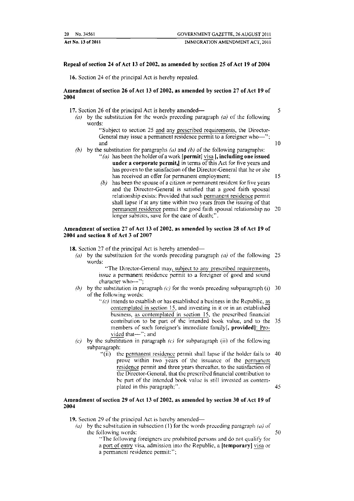| 20 No. 34561       | GOVERNMENT GAZETTE, 26 AUGUST 2011 |
|--------------------|------------------------------------|
| Act No. 13 of 2011 | IMMIGRATION AMENDMENT ACT, 2011    |

#### Repeal of section 24 of Act 13 of 2002, as amended by section 25 of Act 19 of 2004

16. Section 24 of the principal Act is hereby repealed.

#### Amendment of section 26 of Act 13 of 2002, as amended by section 27 of Act 19 of 2004

17. Section 26 of the principal Act is hereby amended— $\frac{5}{5}$ 

(a) by the substitution for the words preceding paragraph (a) of the following words:

> ''Subject to section 25 and any prescribed requirements, the Director-General may issue a permanent residence permit to a foreigner who-'':<br>and and  $10$

- *(b)* by the substitution for paragraphs *(a)* and (b) of the following paragraphs:
	- "(a) has been the holder of a work [permit] visa  $\mathfrak{f}_1$ , including one issued under a corporate permit,  $\parallel$  in terms of this Act for five years and has proven to the satisfaction of the Director-General that he or she has received an offer for permanent employment: 15
	- *(b)* has been the spouse of a citizen or permanent resident for five years and the Director-General is satisfied that a good faith spousal relationship exists: Provided that such permanent residence permit shall lapse if at any time within two years from the issuing of that pennanent residence permit the good faith spousal relationship no 20 longer subsists, save for the case of death;''.

#### Amendment of section 27 of Act 13 of 2002, as amended by section 28 of Act 19 of 2004 and section 8 of Act 3 of 2007

18. Section 27 of the principal Act is hereby amended—

(a) by the substitution for the words preceding paragraph (a) of the following 25 words:

> ''The Director-General may. subject to any prescribed requirements. issue a permanent residence permit to a foreigner of good and sound character who-";

- *(h)* by the substitution in paragraph *(c)* for the words preceding subparagraph (i) 30 of the following words:
	- $\cdot$  (c) intends to establish or has established a business in the Republic, as contemplated in section 15, and investing in it or in an established business, as contemplated in section 15, the prescribed financial contribution to be part of the intended book value, and to the 35 members of such foreigner's immediate family[, provided]: Procontribution to be part of the intended book value, and to the<br>members of such foreigner's immediate family[, provided]: Pro-<br>vided that--"; and
- (c) by the substitution in paragraph (c) for subparagraph (ii) of the following subparagraph:
	- ·'(ii) the permanent residence permit shall lapse if the holder fails to 40 prove within two years of the issuance of the permanent residence permit and three years thereafter, to the satisfaction of the Director-General. that the prescribed financial contribution to he part of the intended book value is still invested as contem· plated in this paragraph;". 45

#### Amendment of section 29 of Act 13 of 2002, as amended by section 30 of Act 19 of 2004

19. Section 29 of the principal Act is hereby amended—

- (a) by the substitution in subsection (1) for the words preceding paragraph (a) of the following words:  $50$ 
	- "The following foreigners are prohibited persons and do not qualify for a port of entry visa, admission into the Republic, a **[temporary}** visa or
	- a permanent residence permit:'';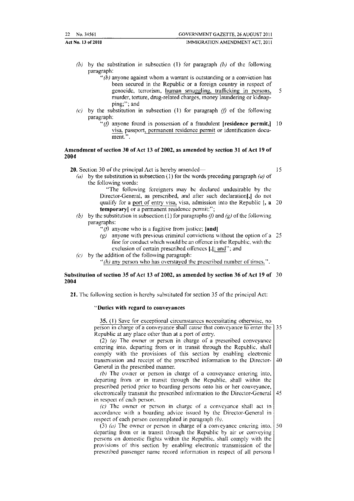| 22 No. 34561       | GOVERNMENT GAZETTE, 26 AUGUST 2011 |
|--------------------|------------------------------------|
| Act No. 13 of 2011 | IMMIGRATION AMENDMENT ACT. 2011    |

- *(b)* by the substitution in subsection (1) for paragraph *(b)* of the following paragraph:
	- " $(b)$  anyone against whom a warrant is outstanding or a conviction has been secured in the Republic or a foreign country in respect of genocide, terrorism, human smuggling, trafficking in persons, 5 murder, torture, drug-related charges, money laundering or kidnapping;"; and
- (c) by the substitution in subsection (1) for paragraph (*f*) of the following paragraph:
	- "(f) anyone found in possession of a fraudulent [residence permit,]  $10$ visa. passport, permanent residence permit or identification document.".

15

#### Amendment of section 30 of Act 13 of 2002, as amended by section 31 of Act 19 of 2004

20. Section 30 of the principal Act is hereby amended-

*(a)* by the substitution in subsection ( 1) for the words preceding paragraph *(a}* of the following words:

"The following foreigners may be declared undesirable by the Director-General, as prescribed, and after such declaration[,] do not qualify for a port of entry visa, visa, admission into the Republic [, a *20*  **temporary** or a permanent residence permit:";

- (b) by the substitution in subsection (1) for paragraphs (f) and (g) of the following paragraphs:
	- "(*f*) anyone who is a fugitive from justice; [and]
	- $(g)$  anyone with previous criminal convictions without the option of a 25 fine for conduct which would be an offence in the Republic, with the exclusion of certain prescribed offences [.]; and"; and
- *(c)* by the addition of the following paragraph: "(h) any person who has overstayed the prescribed number of times.".

#### Substitution of section 35 of Act 13 of 2002, as amended by section 36 of Act 19 of 30 2004

21. The following section is hereby substituted for section 35 of the principal Act:

#### "Duties with regard to conveyances

35. (1) Save for exceptional circumstances necessitating otherwise, no person in charge of a conveyance shall cause that conveyance to enter the 35 Republic at any place other than at a port of entry. (2) (a) The owner or person in charge of a prescribed conveyance entering into. departing from or in transit through the Republic, shall comply with the provisions of this section by enabling electronic transmission and receipt of the prescribed information to the Director- 40 General in the prescribed manner.  $(b)$  The owner or person in charge of a conveyance entering into, departing from or in transit through the Republic, shall within the prescribed period prior to boarding persons onto his or her conveyance,

electronically transmit the prescribed information to the Director-General 45 in respect of each person.

 $(c)$  The owner or person in charge of a conveyance shall act in accordance with a boarding advice issued by the Director-General in respect of each person contemplated in paragraph *(b).* 

(3) (a) The owner or person in charge of a conveyance entering into,  $\vert$  50 departing from or in transit through the Republic by air or conveying persons on domestic flights \Vithin the Republic. shall comply with the provisions of this section by enabling electronic transmission of the prescribed passenger name record infonnation in respect of all persons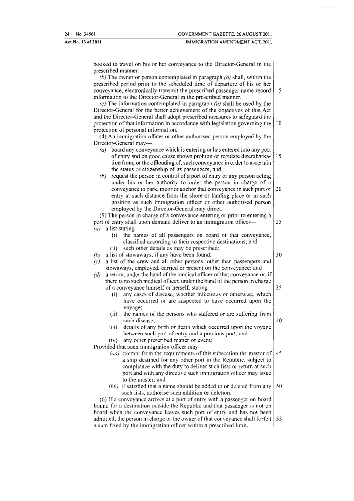| 24 No. 34561       | GOVERNMENT GAZETTE, 26 AUGUST 2011 |
|--------------------|------------------------------------|
| Act No. 13 of 2011 | IMMIGRATION AMENDMENT ACT, 2011    |

booked to travel on his or her conveyance to the Director-General in the prescribed manner.

| (b) The owner or person contemplated in paragraph $(a)$ shall, within the<br>prescribed period prior to the scheduled time of departure of his or her |    |
|-------------------------------------------------------------------------------------------------------------------------------------------------------|----|
| conveyance, electronically transmit the prescribed passenger name record                                                                              | 5  |
| information to the Director-General in the prescribed manner.                                                                                         |    |
| (c) The information contemplated in paragraph $(a)$ shall be used by the                                                                              |    |
| Director-General for the better achievement of the objectives of this Act                                                                             |    |
| and the Director-General shall adopt prescribed measures to safeguard the                                                                             |    |
| protection of that information in accordance with legislation governing the                                                                           | 10 |
| protection of personal information.                                                                                                                   |    |
| (4) An immigration officer or other authorised person employed by the                                                                                 |    |
| Director-General may-                                                                                                                                 |    |
| board any conveyance which is entering or has entered into any port<br>(a)                                                                            |    |
| of entry and on good cause shown prohibit or regulate disembarka-                                                                                     | 15 |
| tion from, or the offloading of, such conveyance in order to ascertain                                                                                |    |
| the status or citizenship of its passengers; and                                                                                                      |    |
| request the person in control of a port of entry or any person acting<br>(b)                                                                          |    |
| under his or her authority to order the person in charge of a                                                                                         |    |
| conveyance to park, moor or anchor that conveyance in such port of                                                                                    | 20 |
| entry at such distance from the shore or landing place or in such                                                                                     |    |
| position as such immigration officer or other authorised person                                                                                       |    |
| employed by the Director-General may direct.                                                                                                          |    |
| (5) The person in charge of a conveyance entering or prior to entering a                                                                              |    |
| port of entry shall upon demand deliver to an immigration officer-                                                                                    | 25 |
| a list stating-<br>(a)                                                                                                                                |    |
| the names of all passengers on board of that conveyance,<br>(i)                                                                                       |    |
| classified according to their respective destinations; and                                                                                            |    |
| such other details as may be prescribed:<br>(ii)                                                                                                      |    |
| a list of stowaways, if any have been found;<br>(b)                                                                                                   | 30 |
| a list of the crew and all other persons, other than passengers and                                                                                   |    |
| $\left( c\right)$<br>stowaways, employed, carried or present on the conveyance; and                                                                   |    |
| a return, under the hand of the medical officer of that conveyance or, if<br>(a)                                                                      |    |
| there is no such medical officer, under the hand of the person in charge                                                                              |    |
| of a conveyance himself or herself, stating-                                                                                                          | 35 |
| any cases of disease, whether infectious or otherwise, which                                                                                          |    |
| (i)                                                                                                                                                   |    |
| have occurred or are suspected to have occurred upon the                                                                                              |    |
| voyage;                                                                                                                                               |    |
| the names of the persons who suffered or arc suffering from<br>(ii)                                                                                   |    |
| such disease;                                                                                                                                         | 40 |
| (iii)<br>details of any birth or death which occurred upon the voyage                                                                                 |    |
| between such port of entry and a previous port; and                                                                                                   |    |
| any other prescribed matter or event:<br>(iv)                                                                                                         |    |
| Provided that such immigration officer may-                                                                                                           |    |
| (aa) exempt from the requirements of this subsection the master of $\vert$ 45                                                                         |    |
| a ship destined for any other port in the Republic, subject to                                                                                        |    |
| compliance with the duty to deliver such lists or return at such                                                                                      |    |
| port and with any directive such immigration officer may issue                                                                                        |    |
| to the master; and                                                                                                                                    |    |
| (bb) if satisfied that a name should be added to or deleted from any                                                                                  | 50 |
| such lists, authorise such addition or deletion.                                                                                                      |    |
| (6) If a conveyance arrives at a port of entry with a passenger on board                                                                              |    |
| bound for a destination outside the Republic and that passenger is not on                                                                             |    |
|                                                                                                                                                       |    |
| board when the conveyance leaves such port of entry and has not been                                                                                  |    |
| admitted, the person in charge or the owner of that conveyance shall forfeit                                                                          | 55 |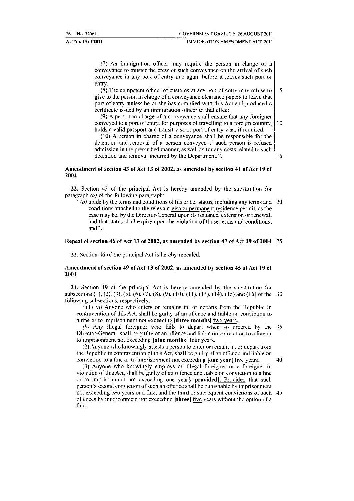#### Act No. 13 of 2011 IMMIGRATION AMENDMENT ACT, 2011

(7) An immigration officer may require the person in charge of a conveyance to muster the crew of such conveyance on the arrival of such conveyance in any port of entry and again before it leaves such port of entry.

(8) The competent officer of customs at any port of entry may refuse to  $\begin{bmatrix} 5 \end{bmatrix}$ give to the person in charge of a conveyance clearance papers to leave that port of entry, unless he or she has complied with this Act and produced a certificate issued by an immigration officer to that effect.

(9) A person in charge of a conveyance shall ensure that any foreigner conveyed to a port of entry, for purposes of travelling to a foreign country,  $\vert$  10 holds a valid passport and transit visa or port of entry visa, if required.

(10) A person in charge of a conveyance shall be responsible for the detention and removal of a person conveyed if such person is refused admission in the prescribed manner, as well as for any costs related to such detention and removal incurred by the Department.". 15

#### Amendment of section 43 of Act 13 of 2002, as amended by section 41 of Act 19 of 2004

22. Section 43 of the principal Act is hereby amended by the substitution for paragraph *(a)* of the following paragraph:

 $\degree$ (a) abide by the terms and conditions of his or her status, including any terms and 20 conditions attached to the relevant visa or permanent residence permit, as the case may be, by the Director-General upon its issuance, extension or renewal, and that status shall expire upon the violation of those terms and conditions; and".

#### Repeal of section 46 of Act 13 of 2002, as amended by section 47 of Act 19 of 2004 25

23. Section 46 of the principal Act is hereby repealed.

#### Amendment of section 49 of Act 13 of 2002, as amended by section 45 of Act 19 of 2004

24, Section 49 of the principal Act is hereby amended by the substitution for subsections (1), (2), (3), (5), (6), (7), (8), (9), (10), (11), (13), (14), (15) and (16) of the 30 following subsections. respectively:

 $''(1)$  (a) Anyone who enters or remains in, or departs from the Republic in contravention of this Act, shall be guilty of an offence and liable on conviction to a fine or to imprisonment not exceeding (three months] two years.

(b) Any illegal foreigner who fails to depart when so ordered by the 35 Director-General, shall be guilty of an offence and liable on conviction to a fine or to imprisonment not exceeding [nine months] four years.

(2) Anyone who knowingly assists a person to enter or remain in, or depart from the Republic in contravention of this Act, shall be guilty of an olfenec and liable on conviction to a fine or to imprisonment not exceeding [one year] five years. 40

(3) Anyone who knowingly employs an illegal foreigner or  $\overline{a}$  foreigner in violation of this Act, shall be guilty of an offence and liable on conviction to a fine or to imprisonment not exceeding one year[, provided]: Provided that such person's second conviction of such an offence shall be punishable by imprisonment not exceeding two years or a fine, and the third or subsequent convictions of such 45 offences by imprisonment not exceeding **[three]** five years without the option of a fmc.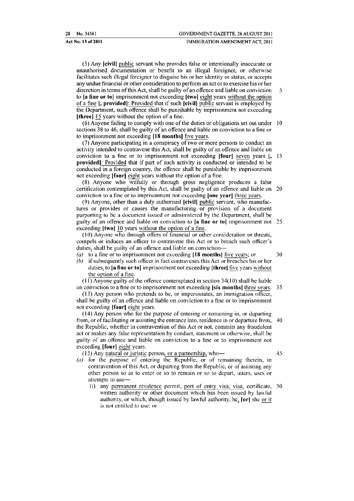( 5) Any ]civil] public servant who provides false or intentionally inaccurate or unauthorised documentation or benefit to an illegal foreigner, or otherwise facilitates such illegal foreigner to disguise his or her identity or status, or accepts any undue financial or other consideration to perform an act or to exercise his or her discretion in terms of this Act, shall be guilty of an offence and liable on conviction 5 to la fine or to] imprisonment not exceeding [two] eight years without the option of a fine ], provided]: Provided that if such [civil] public servant is employed by the Department, such offence shall be punishable by imprisonment not exceeding **[three]** 15 years without the option of a fine.

 $(6)$  Anyone failing to comply with one of the duties or obligations set out under 10 sections 38 to 46, shall be guilty of an offence and liable on conviction to a fine or to imprisonment not exceeding 118 months] five years.

 $(7)$  Anyone participating in a conspiracy of two or more persons to conduct an activity intended to contravene this Act, shall be guilty of an offence and liable on conviction to a fine or to imprisonment not exceeding **[four]** seven years [, 15] provided]: Provided that if part of such activity is conducted or intended to be conducted in a foreign country, the offence shall be punishable by imprisonment not exceeding [four] eight years without the option of a fine.

(8) Anyone who wilfully or through gross negligence produces a false certification contemplated by this Act, shall be guilty of an offence and liable on 20 conviction to a fine or to imprisonment not exceeding **[one year]** three years.

 $(9)$  Anyone, other than a duly authorised  $[**civ**$  ill public servant, who manufactures or provides or causes the manufacturing or provision of a document purporting to be a document issued or administered by the Department, shall be guilty of an offence and liable on conviction to  $[a]$  fine or to imprisonment not 25 exceeding [two] 10 years without the option of a fine.

(10) Anyone who through offers of financial or other consideration or threats, compels or induces an officer to contravene this Act or to breach such officer's duties, shall be guilty of an offence and liable on conviction-

- (a) to a fine or to imprisonment not exceeding  $\lfloor 18 \text{ months} \rfloor$  five years; or  $\qquad \qquad$  30
- *(b)* if subsequently such officer in fact contravenes this Act or breaches his or her duties, to [a fine or to] imprisonment not exceeding [three] five years without the option of a fine.

 $(11)$  Anyone guilty of the offence contemplated in section 34 $(10)$  shall be liable on conviction to a fine or to imprisonment not exceeding (six months) three vears. 35

(13) Any person who pretends to be, or impersonates, an immigration officer. shall be guilty of an offence and liable on conviction to a fine or to imprisonment not exceeding [four] eight years.

 $(14)$  Any person who for the purpose of entering or remaining in, or departing from, or of facilitating or assisting the entrance into, residence in or departure from. 40 the Republic, whether in contravention of this Act or not, commits any fraudulent act or makes any false representation by conduct, statement or otherwise, shall be guilty of an otfencc and liable on conviction to a fine or to imprisonment not exceeding (four) eight years.

 $(15)$  Any natural or juristic person, or a partnership, who- $\overline{\phantom{a}}$  45

- (a) for the purpose of entering the Republic, or of remaining therein, in contravention of this Act, or departing from the Republic, or of assisting any other person so as to enter or so to remain or so to depart, utters. uses or attempts to use-
	- (i) any permanent residence permit, port of entry visa, visa, certificate, 50 written authority or other document which has been issued by lawful authority, or which, though issued by lawful authority,  $he_2$  [or] she <u>or it</u> is not entitled to use; or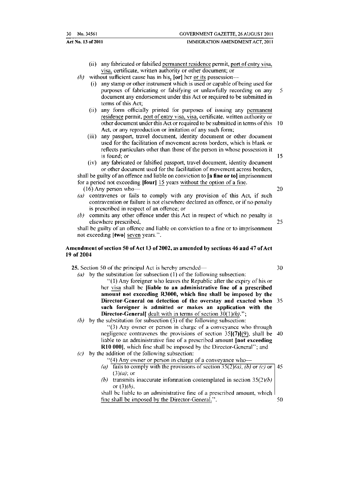| 30 No. 34561       | GOVERNMENT GAZETTE, 26 AUGUST 2011 |
|--------------------|------------------------------------|
| Act No. 13 of 2011 | IMMIGRATION AMENDMENT ACT. 2011    |

- (ii) any fabricated or falsified permanent residence permit, port of entry visa, visa. certificate, written authority or other document; or
- $(b)$  without sufficient cause has in his,  $[or]$  her or its possession-
	- (i) any stamp or other instrument which is used or capable of being used for purposes of fabricating or falsifying or unlawfully recording on any 5 document any endorsement under this Act or required to be submitted in terms of this Act;
	- (ii) any fonn officially printed tor purposes of issuing any pennanent residence permit, port of entry visa, visa, certificate. written authority or other document under this Act or required to be submitted in terms of this 10 Act, or any reproduction or imitation of any such form;
	- (iii) any passport, travel document, identity document or other document used for the facilitation of movement across borders, which is blank or reflects particulars other than those of the person in whose possession it is found; or  $15$
	- (iv) any fabricated or falsified passport, travel document, identity document or other document used for the facilitation of movement across borders,

shall be guilty of an offence and liable on conviction to [a fine or to] imprisonment for a period not exceeding  $\left| \text{four} \right|$  15 years without the option of a fine.

- $(16)$  Any person who  $-$  20
- (a) contravenes or fails to comply with any provision of this Act, if such contravention or failure is not elsewhere declared an offence, or if no penalty is prescribed in respect of an offence; or
- *(b)* commits any other offence under this Act in respect of which no penalty is elsewhere prescribed, 25

shall be guilty of an offence and liable on conviction to a fine or to imprisonment not exceeding [two] seven years.".

#### Amendment of section 50 of Act 13 of2002, as amended by sections 46 and 47 of Act 19 of 2004

25. Section 50 of the principal Act is hereby amended— 30

(a) by the substitution for subsection (1) of the following subsection:

"(I) Any foreigner who leaves the Republic alter the expiry of his or her visa shall be (liable to an administrative fine of a prescribed amount not exceeding R3000, which fine shall be imposed by the Director-General on detection of the overstay and exacted when 35 such foreigner is admitted or makes an application with the **Director-General**] dealt with in terms of section  $30(1)$ *(h)*.";

*(b)* by the substitution for subsection (3) of the following subsection:

 $(3)$  Any owner or person in charge of a conveyance who through negligence contravenes the provisions of section  $35[(7)](9)$ , shall be 40 liable to an administrative fine of a prescribed amount [not exceeding R10 000], which fine shall be imposed by the Director-General"; and  $(c)$  by the addition of the following subsection:

- "(4) Any owner or person in charge of a conveyance who--
	- *(a)* **fails to comply with the provisions of section**  $35(2)(a)$ **,** *(b)* **or** *(c)* **or 45**  $(3)(a)$ ; or *(b)* transmits inaccurate information contemplated in section  $35(2)(b)$ or *(3)(h),*

shall be liable to an administrative fine of a prescribed amount. which fine shall be imposed by the Director-General.". 50